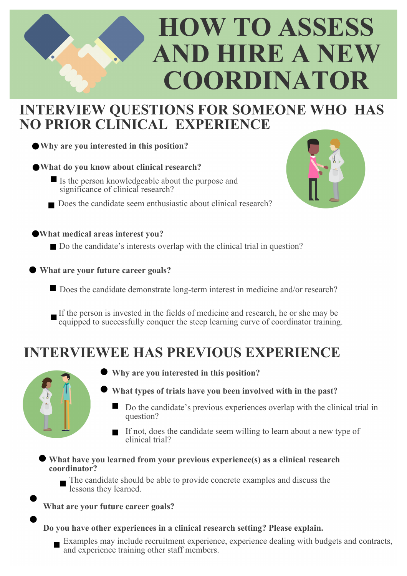# **HOW TO ASSESS AND HIRE A NEW COORDINATOR**

### **INTERVIEW QUESTIONS FOR SOMEONE WHO HAS NO PRIOR CLINICAL EXPERIENCE**

**Why are you interested in this position?**

**What do you know about clinical research?**

- If Is the person knowledgeable about the purpose and significance of clinical research?
- Does the candidate seem enthusiastic about clinical research?

**What medical areas interest you?**

- Do the candidate's interests overlap with the clinical trial in question?
- **What are your future career goals?**
	- Does the candidate demonstrate long-term interest in medicine and/or research?
	- If the person is invested in the fields of medicine and research, he or she may be equipped to successfully conquer the steep learning curve of coordinator training.

## **INTERVIEWEE HAS PREVIOUS EXPERIENCE**



- **Why are you interested in this position?**
- **What types of trials have you been involved with in the past?**
	- Do the candidate's previous experiences overlap with the clinical trial in question?
	- If not, does the candidate seem willing to learn about a new type of clinical trial?

**What have you learned from your previous experience(s) as a clinical research coordinator?**

The candidate should be able to provide concrete examples and discuss the lessons they learned.

#### **What are your future career goals?**

#### **Do you have other experiences in a clinical research setting? Please explain.**

Examples may include recruitment experience, experience dealing with budgets and contracts, and experience training other staff members.